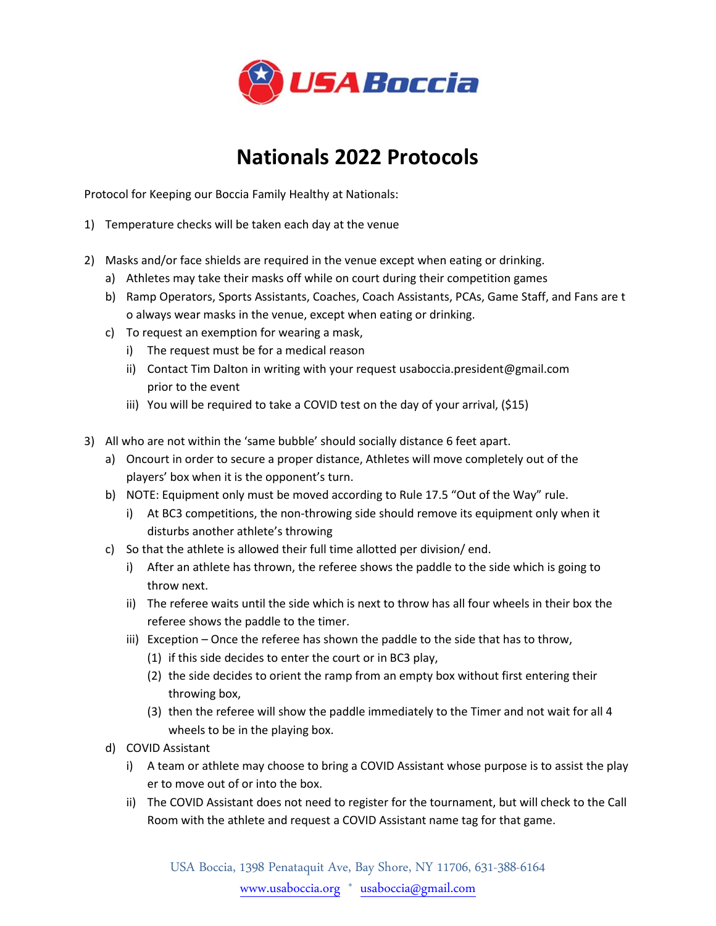

## **Nationals 2022 Protocols**

Protocol for Keeping our Boccia Family Healthy at Nationals:

- 1) Temperature checks will be taken each day at the venue
- 2) Masks and/or face shields are required in the venue except when eating or drinking.
	- a) Athletes may take their masks off while on court during their competition games
	- b) Ramp Operators, Sports Assistants, Coaches, Coach Assistants, PCAs, Game Staff, and Fans are t o always wear masks in the venue, except when eating or drinking.
	- c) To request an exemption for wearing a mask,
		- i) The request must be for a medical reason
		- ii) Contact Tim Dalton in writing with your request usaboccia.president@gmail.com prior to the event
		- iii) You will be required to take a COVID test on the day of your arrival, (\$15)
- 3) All who are not within the 'same bubble' should socially distance 6 feet apart.
	- a) Oncourt in order to secure a proper distance, Athletes will move completely out of the players' box when it is the opponent's turn.
	- b) NOTE: Equipment only must be moved according to Rule 17.5 "Out of the Way" rule.
		- i) At BC3 competitions, the non-throwing side should remove its equipment only when it disturbs another athlete's throwing
	- c) So that the athlete is allowed their full time allotted per division/ end.
		- i) After an athlete has thrown, the referee shows the paddle to the side which is going to throw next.
		- ii) The referee waits until the side which is next to throw has all four wheels in their box the referee shows the paddle to the timer.
		- iii) Exception Once the referee has shown the paddle to the side that has to throw,
			- (1) if this side decides to enter the court or in BC3 play,
			- (2) the side decides to orient the ramp from an empty box without first entering their throwing box,
			- (3) then the referee will show the paddle immediately to the Timer and not wait for all 4 wheels to be in the playing box.
	- d) COVID Assistant
		- i) A team or athlete may choose to bring a COVID Assistant whose purpose is to assist the play er to move out of or into the box.
		- ii) The COVID Assistant does not need to register for the tournament, but will check to the Call Room with the athlete and request a COVID Assistant name tag for that game.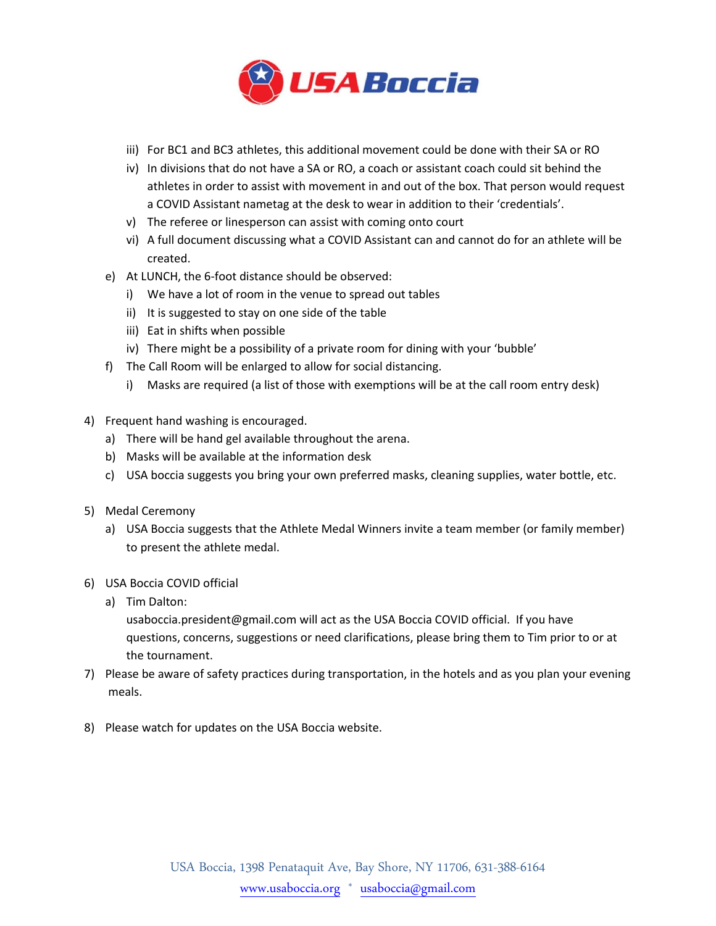

- iii) For BC1 and BC3 athletes, this additional movement could be done with their SA or RO
- iv) In divisions that do not have a SA or RO, a coach or assistant coach could sit behind the athletes in order to assist with movement in and out of the box. That person would request a COVID Assistant nametag at the desk to wear in addition to their 'credentials'.
- v) The referee or linesperson can assist with coming onto court
- vi) A full document discussing what a COVID Assistant can and cannot do for an athlete will be created.
- e) At LUNCH, the 6-foot distance should be observed:
	- i) We have a lot of room in the venue to spread out tables
	- ii) It is suggested to stay on one side of the table
	- iii) Eat in shifts when possible
	- iv) There might be a possibility of a private room for dining with your 'bubble'
- f) The Call Room will be enlarged to allow for social distancing.
	- i) Masks are required (a list of those with exemptions will be at the call room entry desk)
- 4) Frequent hand washing is encouraged.
	- a) There will be hand gel available throughout the arena.
	- b) Masks will be available at the information desk
	- c) USA boccia suggests you bring your own preferred masks, cleaning supplies, water bottle, etc.
- 5) Medal Ceremony
	- a) USA Boccia suggests that the Athlete Medal Winners invite a team member (or family member) to present the athlete medal.
- 6) USA Boccia COVID official
	- a) Tim Dalton:

usaboccia.president@gmail.com will act as the USA Boccia COVID official. If you have questions, concerns, suggestions or need clarifications, please bring them to Tim prior to or at the tournament.

- 7) Please be aware of safety practices during transportation, in the hotels and as you plan your evening meals.
- 8) Please watch for updates on the USA Boccia website.